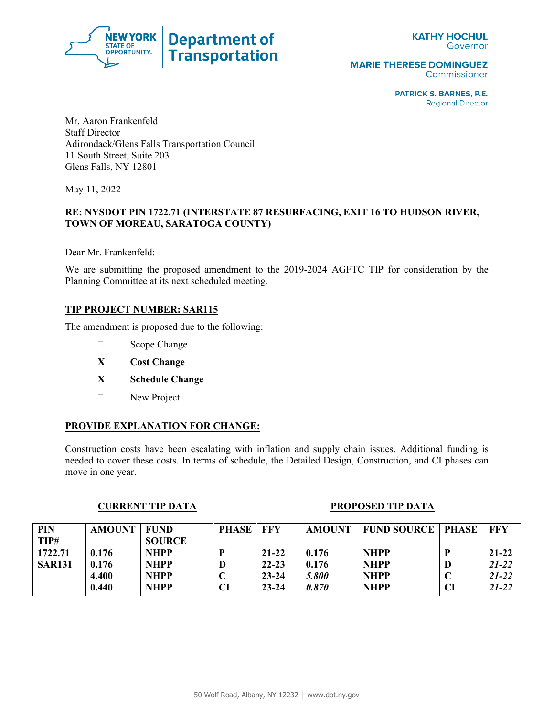

**MARIE THERESE DOMINGUEZ** Commissioner

> **PATRICK S. BARNES, P.E. Regional Director**

Mr. Aaron Frankenfeld Staff Director Adirondack/Glens Falls Transportation Council 11 South Street, Suite 203 Glens Falls, NY 12801

May 11, 2022

# **RE: NYSDOT PIN 1722.71 (INTERSTATE 87 RESURFACING, EXIT 16 TO HUDSON RIVER, TOWN OF MOREAU, SARATOGA COUNTY)**

Dear Mr. Frankenfeld:

We are submitting the proposed amendment to the 2019-2024 AGFTC TIP for consideration by the Planning Committee at its next scheduled meeting.

## **TIP PROJECT NUMBER: SAR115**

The amendment is proposed due to the following:

- □ Scope Change
- **X Cost Change**
- **X Schedule Change**
- New Project

## **PROVIDE EXPLANATION FOR CHANGE:**

Construction costs have been escalating with inflation and supply chain issues. Additional funding is needed to cover these costs. In terms of schedule, the Detailed Design, Construction, and CI phases can move in one year.

#### **CURRENT TIP DATA** PROPOSED TIP DATA

| <b>PIN</b>    | <b>AMOUNT</b> | FUND          | <b>PHASE</b> | FFY       | <b>AMOUNT</b> | <b>FUND SOURCE</b> | PHASE | FFY       |
|---------------|---------------|---------------|--------------|-----------|---------------|--------------------|-------|-----------|
| TIP#          |               | <b>SOURCE</b> |              |           |               |                    |       |           |
| 1722.71       | 0.176         | <b>NHPP</b>   |              | $21 - 22$ | 0.176         | <b>NHPP</b>        |       | $21 - 22$ |
| <b>SAR131</b> | 0.176         | <b>NHPP</b>   |              | $22 - 23$ | 0.176         | <b>NHPP</b>        | D     | $21 - 22$ |
|               | 4.400         | <b>NHPP</b>   |              | $23 - 24$ | 5.800         | <b>NHPP</b>        |       | $21 - 22$ |
|               | 0.440         | <b>NHPP</b>   |              | $23 - 24$ | 0.870         | <b>NHPP</b>        | CI    | $21 - 22$ |